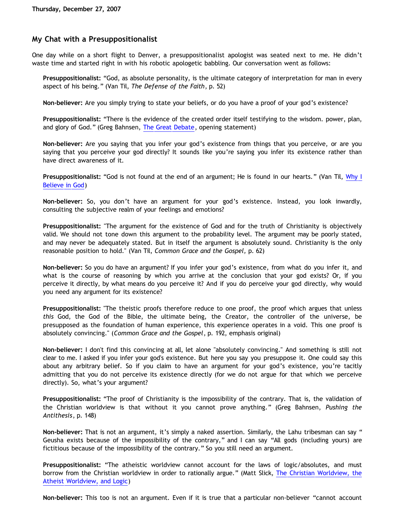# **My Chat with a Presuppositionalist**

One day while on a short flight to Denver, a presuppositionalist apologist was seated next to me. He didn't waste time and started right in with his robotic apologetic babbling. Our conversation went as follows:

**Presuppositionalist:** "God, as absolute personality, is the ultimate category of interpretation for man in every aspect of his being." (Van Til, *The Defense of the Faith*, p. 52)

**Non-believer:** Are you simply trying to state your beliefs, or do you have a proof of your god's existence?

**Presuppositionalist:** "There is the evidence of the created order itself testifying to the wisdom. power, plan, and glory of God." (Greg Bahnsen, [The Great Debate,](http://www.bellevuechristian.org/faculty/dribera/htdocs/PDFs/Apol_Bahnsen_Stein_Debate_Transcript.pdf) opening statement)

**Non-believer:** Are you saying that you infer your god's existence from things that you perceive, or are you saying that you perceive your god directly? It sounds like you're saying you infer its existence rather than have direct awareness of it.

**Presuppositionalist:** "God is not found at the end of an argument; He is found in our hearts." (Van Til, [Why I](http://www.reformed.org/apologetics/why_I_believe_cvt.html) [Believe in God\)](http://www.reformed.org/apologetics/why_I_believe_cvt.html)

**Non-believer:** So, you don't have an argument for your god's existence. Instead, you look inwardly, consulting the subjective realm of your feelings and emotions?

**Presuppositionalist:** "The argument for the existence of God and for the truth of Christianity is objectively valid. We should not tone down this argument to the probability level. The argument may be poorly stated, and may never be adequately stated. But in itself the argument is absolutely sound. Christianity is the only reasonable position to hold." (Van Til, *Common Grace and the Gospel,* p. 62)

**Non-believer:** So you do have an argument? If you infer your god's existence, from what do you infer it, and what is the course of reasoning by which you arrive at the conclusion that your god exists? Or, if you perceive it directly, by what means do you perceive it? And if you do perceive your god directly, why would you need any argument for its existence?

**Presuppositionalist:** "The theistic proofs therefore reduce to one proof, the proof which argues that unless *this* God, the God of the Bible, the ultimate being, the Creator, the controller of the universe, be presupposed as the foundation of human experience, this experience operates in a void. This one proof is absolutely convincing." (*Common Grace and the Gospel*, p. 192, emphasis original)

**Non-believer:** I don't find this convincing at all, let alone "absolutely convincing." And something is still not clear to me. I asked if you infer your god's existence. But here you say you presuppose it. One could say this about any arbitrary belief. So if you claim to have an argument for your god's existence, you're tacitly admitting that you do not perceive its existence directly (for we do not argue for that which we perceive directly). So, what's your argument?

**Presuppositionalist:** "The proof of Christianity is the impossibility of the contrary. That is, the validation of the Christian worldview is that without it you cannot prove anything." (Greg Bahnsen, *Pushing the Antithesis*, p. 148)

**Non-believer:** That is not an argument, it's simply a naked assertion. Similarly, the Lahu tribesman can say " Geusha exists because of the impossibility of the contrary," and I can say "All gods (including yours) are fictitious because of the impossibility of the contrary." So you still need an argument.

**Presuppositionalist:** "The atheistic worldview cannot account for the laws of logic/absolutes, and must borrow from the Christian worldview in order to rationally argue." (Matt Slick, [The Christian Worldview, the](http://www.carm.org/atheism/logic.htm) [Atheist Worldview, and Logic\)](http://www.carm.org/atheism/logic.htm)

**Non-believer:** This too is not an argument. Even if it is true that a particular non-believer "cannot account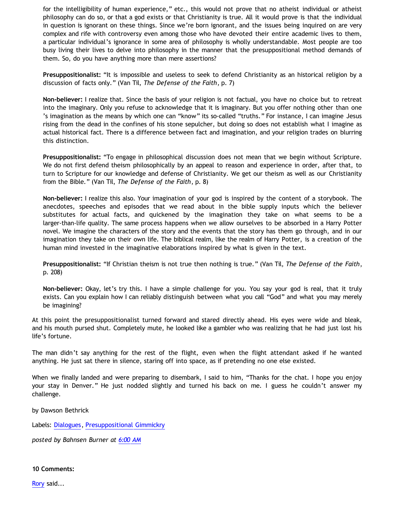for the intelligibility of human experience," etc., this would not prove that no atheist individual or atheist philosophy can do so, or that a god exists or that Christianity is true. All it would prove is that the individual in question is ignorant on these things. Since we're born ignorant, and the issues being inquired on are very complex and rife with controversy even among those who have devoted their entire academic lives to them, a particular individual's ignorance in some area of philosophy is wholly understandable. Most people are too busy living their lives to delve into philosophy in the manner that the presuppositional method demands of them. So, do you have anything more than mere assertions?

**Presuppositionalist:** "It is impossible and useless to seek to defend Christianity as an historical religion by a discussion of facts only." (Van Til, *The Defense of the Faith*, p. 7)

**Non-believer:** I realize that. Since the basis of your religion is not factual, you have no choice but to retreat into the imaginary. Only you refuse to acknowledge that it is imaginary. But you offer nothing other than one 's imagination as the means by which one can "know" its so-called "truths." For instance, I can imagine Jesus rising from the dead in the confines of his stone sepulcher, but doing so does not establish what I imagine as actual historical fact. There is a difference between fact and imagination, and your religion trades on blurring this distinction.

**Presuppositionalist:** "To engage in philosophical discussion does not mean that we begin without Scripture. We do not first defend theism philosophically by an appeal to reason and experience in order, after that, to turn to Scripture for our knowledge and defense of Christianity. We get our theism as well as our Christianity from the Bible." (Van Til, *The Defense of the Faith*, p. 8)

**Non-believer:** I realize this also. Your imagination of your god is inspired by the content of a storybook. The anecdotes, speeches and episodes that we read about in the bible supply inputs which the believer substitutes for actual facts, and quickened by the imagination they take on what seems to be a larger-than-life quality. The same process happens when we allow ourselves to be absorbed in a Harry Potter novel. We imagine the characters of the story and the events that the story has them go through, and in our imagination they take on their own life. The biblical realm, like the realm of Harry Potter, is a creation of the human mind invested in the imaginative elaborations inspired by what is given in the text.

**Presuppositionalist:** "If Christian theism is not true then nothing is true." (Van Til, *The Defense of the Faith*, p. 208)

**Non-believer:** Okay, let's try this. I have a simple challenge for you. You say your god is real, that it truly exists. Can you explain how I can reliably distinguish between what you call "God" and what you may merely be imagining?

At this point the presuppositionalist turned forward and stared directly ahead. His eyes were wide and bleak, and his mouth pursed shut. Completely mute, he looked like a gambler who was realizing that he had just lost his life's fortune.

The man didn't say anything for the rest of the flight, even when the flight attendant asked if he wanted anything. He just sat there in silence, staring off into space, as if pretending no one else existed.

When we finally landed and were preparing to disembark, I said to him, "Thanks for the chat. I hope you enjoy your stay in Denver." He just nodded slightly and turned his back on me. I guess he couldn't answer my challenge.

by Dawson Bethrick

Labels: [Dialogues,](http://bahnsenburner.blogspot.com/search/label/Dialogues) [Presuppositional Gimmickry](http://bahnsenburner.blogspot.com/search/label/Presuppositional%20Gimmickry)

*posted by Bahnsen Burner at [6:00 AM](http://bahnsenburner.blogspot.com/2007/12/my-chat-with-presuppositionalist.html)*

**10 Comments:**

[Rory](http://www.blogger.com/profile/02571829035126932845) said...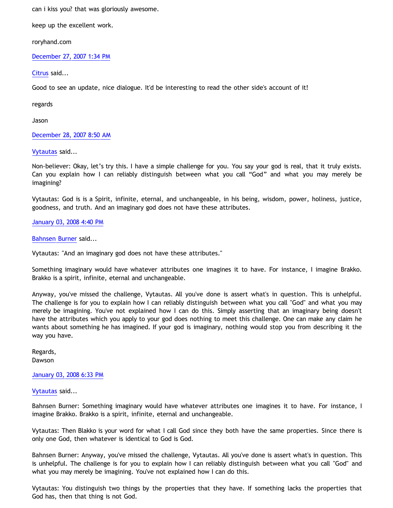can i kiss you? that was gloriously awesome.

keep up the excellent work.

roryhand.com

[December 27, 2007 1:34 PM](http://bahnsenburner.blogspot.com/2007/12/4644790352367566470)

[Citrus](http://www.blogger.com/profile/09604208085934821426) said...

Good to see an update, nice dialogue. It'd be interesting to read the other side's account of it!

regards

Jason

[December 28, 2007 8:50 AM](http://bahnsenburner.blogspot.com/2007/12/9128060064391884972)

[Vytautas](http://www.blogger.com/profile/10563655929016752682) said...

Non-believer: Okay, let's try this. I have a simple challenge for you. You say your god is real, that it truly exists. Can you explain how I can reliably distinguish between what you call "God" and what you may merely be imagining?

Vytautas: God is is a Spirit, infinite, eternal, and unchangeable, in his being, wisdom, power, holiness, justice, goodness, and truth. And an imaginary god does not have these attributes.

[January 03, 2008 4:40 PM](http://bahnsenburner.blogspot.com/2007/12/2591172893865269146)

[Bahnsen Burner](http://www.blogger.com/profile/11030029491768748360) said...

Vytautas: "And an imaginary god does not have these attributes."

Something imaginary would have whatever attributes one imagines it to have. For instance, I imagine Brakko. Brakko is a spirit, infinite, eternal and unchangeable.

Anyway, you've missed the challenge, Vytautas. All you've done is assert what's in question. This is unhelpful. The challenge is for you to explain how I can reliably distinguish between what you call "God" and what you may merely be imagining. You've not explained how I can do this. Simply asserting that an imaginary being doesn't have the attributes which you apply to your god does nothing to meet this challenge. One can make any claim he wants about something he has imagined. If your god is imaginary, nothing would stop you from describing it the way you have.

Regards, Dawson

[January 03, 2008 6:33 PM](http://bahnsenburner.blogspot.com/2007/12/3380302799590442865)

[Vytautas](http://www.blogger.com/profile/10563655929016752682) said...

Bahnsen Burner: Something imaginary would have whatever attributes one imagines it to have. For instance, I imagine Brakko. Brakko is a spirit, infinite, eternal and unchangeable.

Vytautas: Then Blakko is your word for what I call God since they both have the same properties. Since there is only one God, then whatever is identical to God is God.

Bahnsen Burner: Anyway, you've missed the challenge, Vytautas. All you've done is assert what's in question. This is unhelpful. The challenge is for you to explain how I can reliably distinguish between what you call "God" and what you may merely be imagining. You've not explained how I can do this.

Vytautas: You distinguish two things by the properties that they have. If something lacks the properties that God has, then that thing is not God.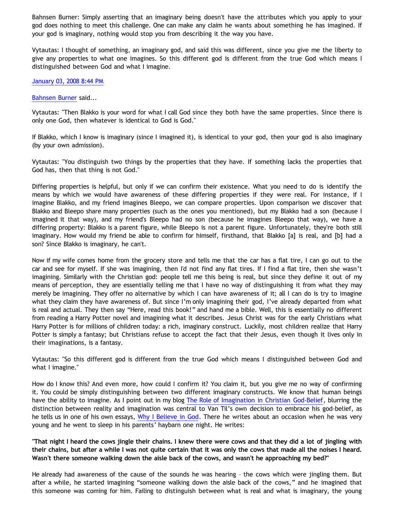Bahnsen Burner: Simply asserting that an imaginary being doesn't have the attributes which you apply to your god does nothing to meet this challenge. One can make any claim he wants about something he has imagined. If your god is imaginary, nothing would stop you from describing it the way you have.

Vytautas: I thought of something, an imaginary god, and said this was different, since you give me the liberty to give any properties to what one imagines. So this different god is different from the true God which means I distinguished between God and what I imagine.

[January 03, 2008 8:44 PM](http://bahnsenburner.blogspot.com/2007/12/533816474019597226)

## [Bahnsen Burner](http://www.blogger.com/profile/11030029491768748360) said...

Vytautas: "Then Blakko is your word for what I call God since they both have the same properties. Since there is only one God, then whatever is identical to God is God."

If Blakko, which I know is imaginary (since I imagined it), is identical to your god, then your god is also imaginary (by your own admission).

Vytautas: "You distinguish two things by the properties that they have. If something lacks the properties that God has, then that thing is not God."

Differing properties is helpful, but only if we can confirm their existence. What you need to do is identify the means by which we would have awareness of these differing properties if they were real. For instance, if I imagine Blakko, and my friend imagines Bleepo, we can compare properties. Upon comparison we discover that Blakko and Bleepo share many properties (such as the ones you mentioned), but my Blakko had a son (because I imagined it that way), and my friend's Bleepo had no son (because he imagines Bleepo that way), we have a differing property: Blakko is a parent figure, while Bleepo is not a parent figure. Unfortunately, they're both still imaginary. How would my friend be able to confirm for himself, firsthand, that Blakko [a] is real, and [b] had a son? Since Blakko is imaginary, he can't.

Now if my wife comes home from the grocery store and tells me that the car has a flat tire, I can go out to the car and see for myself. If she was imagining, then I'd not find any flat tires. If I find a flat tire, then she wasn't imagining. Similarly with the Christian god: people tell me this being is real, but since they define it out of my means of perception, they are essentially telling me that I have no way of distinguishing it from what they may merely be imagining. They offer no alternative by which I can have awareness of it; all I can do is try to imagine what they claim they have awareness of. But since I'm only imagining their god, I've already departed from what is real and actual. They then say "Here, read this book!" and hand me a bible. Well, this is essentially no different from reading a Harry Potter novel and imagining what it describes. Jesus Christ was for the early Christians what Harry Potter is for millions of children today: a rich, imaginary construct. Luckily, most children realize that Harry Potter is simply a fantasy; but Christians refuse to accept the fact that their Jesus, even though it lives only in their imaginations, is a fantasy.

Vytautas: "So this different god is different from the true God which means I distinguished between God and what I imagine."

How do I know this? And even more, how could I confirm it? You claim it, but you give me no way of confirming it. You could be simply distinguishing between two different imaginary constructs. We know that human beings have the ability to imagine. As I point out in my blog [The Role of Imagination in Christian God-Belief](http://bahnsenburner.blogspot.com/2007/07/role-of-imagination-in-christian-god.html), blurring the distinction between reality and imagination was central to Van Til's own decision to embrace his god-belief, as he tells us in one of his own essays, [Why I Believe in God](http://www.reformed.org/apologetics/why_I_believe_cvt.html). There he writes about an occasion when he was very young and he went to sleep in his parents' haybarn one night. He writes:

**"That night I heard the cows jingle their chains. I knew there were cows and that they did a lot of jingling with their chains, but after a while I was not quite certain that it was only the cows that made all the noises I heard. Wasn't there someone walking down the aisle back of the cows, and wasn't he approaching my bed?"**

He already had awareness of the cause of the sounds he was hearing – the cows which were jingling them. But after a while, he started imagining "someone walking down the aisle back of the cows," and he imagined that this someone was coming for him. Failing to distinguish between what is real and what is imaginary, the young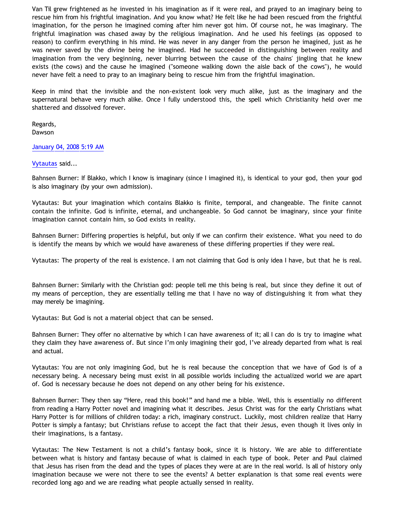Van Til grew frightened as he invested in his imagination as if it were real, and prayed to an imaginary being to rescue him from his frightful imagination. And you know what? He felt like he had been rescued from the frightful imagination, for the person he imagined coming after him never got him. Of course not, he was imaginary. The frightful imagination was chased away by the religious imagination. And he used his feelings (as opposed to reason) to confirm everything in his mind. He was never in any danger from the person he imagined, just as he was never saved by the divine being he imagined. Had he succeeded in distinguishing between reality and imagination from the very beginning, never blurring between the cause of the chains' jingling that he knew exists (the cows) and the cause he imagined ("someone walking down the aisle back of the cows"), he would never have felt a need to pray to an imaginary being to rescue him from the frightful imagination.

Keep in mind that the invisible and the non-existent look very much alike, just as the imaginary and the supernatural behave very much alike. Once I fully understood this, the spell which Christianity held over me shattered and dissolved forever.

Regards, Dawson

#### [January 04, 2008 5:19 AM](http://bahnsenburner.blogspot.com/2007/12/7981123074102158423)

#### [Vytautas](http://www.blogger.com/profile/10563655929016752682) said...

Bahnsen Burner: If Blakko, which I know is imaginary (since I imagined it), is identical to your god, then your god is also imaginary (by your own admission).

Vytautas: But your imagination which contains Blakko is finite, temporal, and changeable. The finite cannot contain the infinite. God is infinite, eternal, and unchangeable. So God cannot be imaginary, since your finite imagination cannot contain him, so God exists in reality.

Bahnsen Burner: Differing properties is helpful, but only if we can confirm their existence. What you need to do is identify the means by which we would have awareness of these differing properties if they were real.

Vytautas: The property of the real is existence. I am not claiming that God is only idea I have, but that he is real.

Bahnsen Burner: Similarly with the Christian god: people tell me this being is real, but since they define it out of my means of perception, they are essentially telling me that I have no way of distinguishing it from what they may merely be imagining.

Vytautas: But God is not a material object that can be sensed.

Bahnsen Burner: They offer no alternative by which I can have awareness of it; all I can do is try to imagine what they claim they have awareness of. But since I'm only imagining their god, I've already departed from what is real and actual.

Vytautas: You are not only imagining God, but he is real because the conception that we have of God is of a necessary being. A necessary being must exist in all possible worlds including the actualized world we are apart of. God is necessary because he does not depend on any other being for his existence.

Bahnsen Burner: They then say "Here, read this book!" and hand me a bible. Well, this is essentially no different from reading a Harry Potter novel and imagining what it describes. Jesus Christ was for the early Christians what Harry Potter is for millions of children today: a rich, imaginary construct. Luckily, most children realize that Harry Potter is simply a fantasy; but Christians refuse to accept the fact that their Jesus, even though it lives only in their imaginations, is a fantasy.

Vytautas: The New Testament is not a child's fantasy book, since it is history. We are able to differentiate between what is history and fantasy because of what is claimed in each type of book. Peter and Paul claimed that Jesus has risen from the dead and the types of places they were at are in the real world. Is all of history only imagination because we were not there to see the events? A better explanation is that some real events were recorded long ago and we are reading what people actually sensed in reality.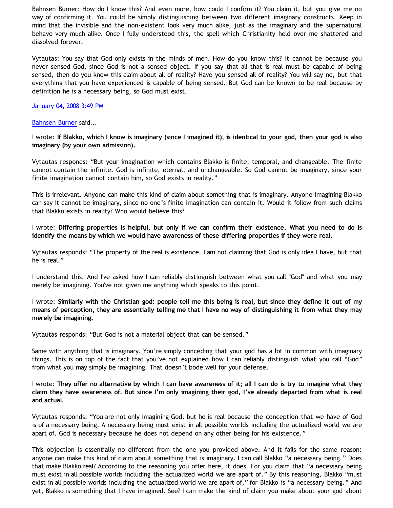Bahnsen Burner: How do I know this? And even more, how could I confirm it? You claim it, but you give me no way of confirming it. You could be simply distinguishing between two different imaginary constructs. Keep in mind that the invisible and the non-existent look very much alike, just as the imaginary and the supernatural behave very much alike. Once I fully understood this, the spell which Christianity held over me shattered and dissolved forever.

Vytautas: You say that God only exists in the minds of men. How do you know this? It cannot be because you never sensed God, since God is not a sensed object. If you say that all that is real must be capable of being sensed, then do you know this claim about all of reality? Have you sensed all of reality? You will say no, but that everything that you have experienced is capable of being sensed. But God can be known to be real because by definition he is a necessary being, so God must exist.

## [January 04, 2008 3:49 PM](http://bahnsenburner.blogspot.com/2007/12/2369644445761675787)

#### [Bahnsen Burner](http://www.blogger.com/profile/11030029491768748360) said...

I wrote: **If Blakko, which I know is imaginary (since I imagined it), is identical to your god, then your god is also imaginary (by your own admission).**

Vytautas responds: "But your imagination which contains Blakko is finite, temporal, and changeable. The finite cannot contain the infinite. God is infinite, eternal, and unchangeable. So God cannot be imaginary, since your finite imagination cannot contain him, so God exists in reality."

This is irrelevant. Anyone can make this kind of claim about something that is imaginary. Anyone imagining Blakko can say it cannot be imaginary, since no one's finite imagination can contain it. Would it follow from such claims that Blakko exists in reality? Who would believe this?

I wrote: **Differing properties is helpful, but only if we can confirm their existence. What you need to do is identify the means by which we would have awareness of these differing properties if they were real.**

Vytautas responds: "The property of the real is existence. I am not claiming that God is only idea I have, but that he is real."

I understand this. And I've asked how I can reliably distinguish between what you call "God" and what you may merely be imagining. You've not given me anything which speaks to this point.

I wrote: **Similarly with the Christian god: people tell me this being is real, but since they define it out of my means of perception, they are essentially telling me that I have no way of distinguishing it from what they may merely be imagining.**

Vytautas responds: "But God is not a material object that can be sensed."

Same with anything that is imaginary. You're simply conceding that your god has a lot in common with imaginary things. This is on top of the fact that you've not explained how I can reliably distinguish what you call "God" from what you may simply be imagining. That doesn't bode well for your defense.

I wrote: **They offer no alternative by which I can have awareness of it; all I can do is try to imagine what they claim they have awareness of. But since I'm only imagining their god, I've already departed from what is real and actual.**

Vytautas responds: "You are not only imagining God, but he is real because the conception that we have of God is of a necessary being. A necessary being must exist in all possible worlds including the actualized world we are apart of. God is necessary because he does not depend on any other being for his existence."

This objection is essentially no different from the one you provided above. And it fails for the same reason: anyone can make this kind of claim about something that is imaginary. I can call Blakko "a necessary being." Does that make Blakko real? According to the reasoning you offer here, it does. For you claim that "a necessary being must exist in all possible worlds including the actualized world we are apart of." By this reasoning, Blakko "must exist in all possible worlds including the actualized world we are apart of," for Blakko is "a necessary being." And yet, Blakko is something that I have imagined. See? I can make the kind of claim you make about your god about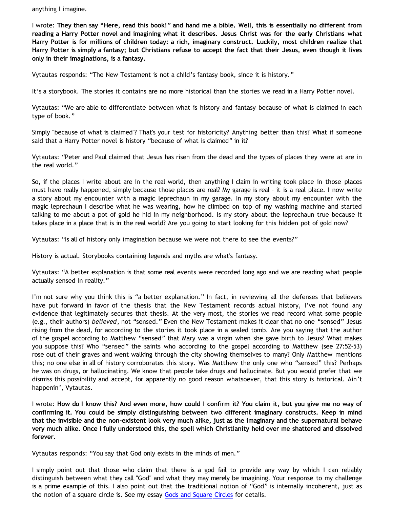anything I imagine.

I wrote: **They then say "Here, read this book!" and hand me a bible. Well, this is essentially no different from reading a Harry Potter novel and imagining what it describes. Jesus Christ was for the early Christians what Harry Potter is for millions of children today: a rich, imaginary construct. Luckily, most children realize that Harry Potter is simply a fantasy; but Christians refuse to accept the fact that their Jesus, even though it lives only in their imaginations, is a fantasy.**

Vytautas responds: "The New Testament is not a child's fantasy book, since it is history."

It's a storybook. The stories it contains are no more historical than the stories we read in a Harry Potter novel.

Vytautas: "We are able to differentiate between what is history and fantasy because of what is claimed in each type of book."

Simply "because of what is claimed"? That's your test for historicity? Anything better than this? What if someone said that a Harry Potter novel is history "because of what is claimed" in it?

Vytautas: "Peter and Paul claimed that Jesus has risen from the dead and the types of places they were at are in the real world."

So, if the places I write about are in the real world, then anything I claim in writing took place in those places must have really happened, simply because those places are real? My garage is real – it is a real place. I now write a story about my encounter with a magic leprechaun in my garage. In my story about my encounter with the magic leprechaun I describe what he was wearing, how he climbed on top of my washing machine and started talking to me about a pot of gold he hid in my neighborhood. Is my story about the leprechaun true because it takes place in a place that is in the real world? Are you going to start looking for this hidden pot of gold now?

Vytautas: "Is all of history only imagination because we were not there to see the events?"

History is actual. Storybooks containing legends and myths are what's fantasy.

Vytautas: "A better explanation is that some real events were recorded long ago and we are reading what people actually sensed in reality."

I'm not sure why you think this is "a better explanation." In fact, in reviewing all the defenses that believers have put forward in favor of the thesis that the New Testament records actual history, I've not found any evidence that legitimately secures that thesis. At the very most, the stories we read record what some people (e.g., their authors) *believed*, not "sensed." Even the New Testament makes it clear that no one "sensed" Jesus rising from the dead, for according to the stories it took place in a sealed tomb. Are you saying that the author of the gospel according to Matthew "sensed" that Mary was a virgin when she gave birth to Jesus? What makes you suppose this? Who "sensed" the saints who according to the gospel according to Matthew (see 27:52-53) rose out of their graves and went walking through the city showing themselves to many? Only Matthew mentions this; no one else in all of history corroborates this story. Was Matthew the only one who "sensed" this? Perhaps he was on drugs, or hallucinating. We know that people take drugs and hallucinate. But you would prefer that we dismiss this possibility and accept, for apparently no good reason whatsoever, that this story is historical. Ain't happenin', Vytautas.

I wrote: **How do I know this? And even more, how could I confirm it? You claim it, but you give me no way of confirming it. You could be simply distinguishing between two different imaginary constructs. Keep in mind that the invisible and the non-existent look very much alike, just as the imaginary and the supernatural behave very much alike. Once I fully understood this, the spell which Christianity held over me shattered and dissolved forever.**

Vytautas responds: "You say that God only exists in the minds of men."

I simply point out that those who claim that there is a god fail to provide any way by which I can reliably distinguish between what they call "God" and what they may merely be imagining. Your response to my challenge is a prime example of this. I also point out that the traditional notion of "God" is internally incoherent, just as the notion of a square circle is. See my essay [Gods and Square Circles](http://www.geocities.com/katholon/squarecircles.htm) for details.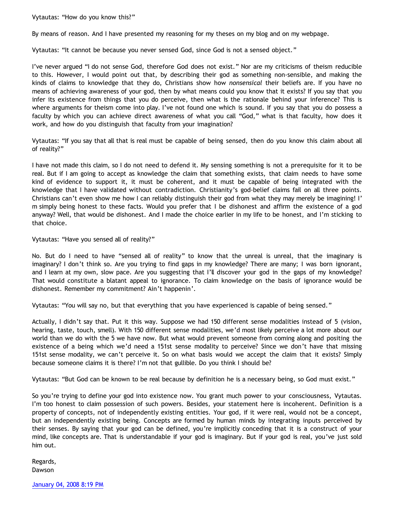Vytautas: "How do you know this?"

By means of reason. And I have presented my reasoning for my theses on my blog and on my webpage.

Vytautas: "It cannot be because you never sensed God, since God is not a sensed object."

I've never argued "I do not sense God, therefore God does not exist." Nor are my criticisms of theism reducible to this. However, I would point out that, by describing their god as something non-sensible, and making the kinds of claims to knowledge that they do, Christians show how *nonsensical* their beliefs are. If you have no means of achieving awareness of your god, then by what means could you know that it exists? If you say that you infer its existence from things that you do perceive, then what is the rationale behind your inference? This is where arguments for theism come into play. I've not found one which is sound. If you say that you do possess a faculty by which you can achieve direct awareness of what you call "God," what is that faculty, how does it work, and how do you distinguish that faculty from your imagination?

Vytautas: "If you say that all that is real must be capable of being sensed, then do you know this claim about all of reality?"

I have not made this claim, so I do not need to defend it. My sensing something is not a prerequisite for it to be real. But if I am going to accept as knowledge the claim that something exists, that claim needs to have some kind of evidence to support it, it must be coherent, and it must be capable of being integrated with the knowledge that I have validated without contradiction. Christianity's god-belief claims fail on all three points. Christians can't even show me how I can reliably distinguish their god from what they may merely be imagining! I' m simply being honest to these facts. Would you prefer that I be dishonest and affirm the existence of a god anyway? Well, that would be dishonest. And I made the choice earlier in my life to be honest, and I'm sticking to that choice.

Vytautas: "Have you sensed all of reality?"

No. But do I need to have "sensed all of reality" to know that the unreal is unreal, that the imaginary is imaginary? I don't think so. Are you trying to find gaps in my knowledge? There are many; I was born ignorant, and I learn at my own, slow pace. Are you suggesting that I'll discover your god in the gaps of my knowledge? That would constitute a blatant appeal to ignorance. To claim knowledge on the basis of ignorance would be dishonest. Remember my commitment? Ain't happenin'.

Vytautas: "You will say no, but that everything that you have experienced is capable of being sensed."

Actually, I didn't say that. Put it this way. Suppose we had 150 different sense modalities instead of 5 (vision, hearing, taste, touch, smell). With 150 different sense modalities, we'd most likely perceive a lot more about our world than we do with the 5 we have now. But what would prevent someone from coming along and positing the existence of a being which we'd need a 151st sense modality to perceive? Since we don't have that missing 151st sense modality, we can't perceive it. So on what basis would we accept the claim that it exists? Simply because someone claims it is there? I'm not that gullible. Do you think I should be?

Vytautas: "But God can be known to be real because by definition he is a necessary being, so God must exist."

So you're trying to define your god into existence now. You grant much power to your consciousness, Vytautas. I'm too honest to claim possession of such powers. Besides, your statement here is incoherent. Definition is a property of concepts, not of independently existing entities. Your god, if it were real, would not be a concept, but an independently existing being. Concepts are formed by human minds by integrating inputs perceived by their senses. By saying that your god can be defined, you're implicitly conceding that it is a construct of your mind, like concepts are. That is understandable if your god is imaginary. But if your god is real, you've just sold him out.

Regards, Dawson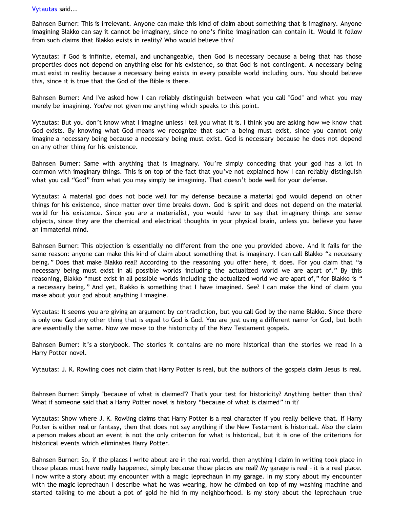## [Vytautas](http://www.blogger.com/profile/10563655929016752682) said...

Bahnsen Burner: This is irrelevant. Anyone can make this kind of claim about something that is imaginary. Anyone imagining Blakko can say it cannot be imaginary, since no one's finite imagination can contain it. Would it follow from such claims that Blakko exists in reality? Who would believe this?

Vytautas: If God is infinite, eternal, and unchangeable, then God is necessary because a being that has those properties does not depend on anything else for his existence, so that God is not contingent. A necessary being must exist in reality because a necessary being exists in every possible world including ours. You should believe this, since it is true that the God of the Bible is there.

Bahnsen Burner: And I've asked how I can reliably distinguish between what you call "God" and what you may merely be imagining. You've not given me anything which speaks to this point.

Vytautas: But you don't know what I imagine unless I tell you what it is. I think you are asking how we know that God exists. By knowing what God means we recognize that such a being must exist, since you cannot only imagine a necessary being because a necessary being must exist. God is necessary because he does not depend on any other thing for his existence.

Bahnsen Burner: Same with anything that is imaginary. You're simply conceding that your god has a lot in common with imaginary things. This is on top of the fact that you've not explained how I can reliably distinguish what you call "God" from what you may simply be imagining. That doesn't bode well for your defense.

Vytautas: A material god does not bode well for my defense because a material god would depend on other things for his existence, since matter over time breaks down. God is spirit and does not depend on the material world for his existence. Since you are a materialist, you would have to say that imaginary things are sense objects, since they are the chemical and electrical thoughts in your physical brain, unless you believe you have an immaterial mind.

Bahnsen Burner: This objection is essentially no different from the one you provided above. And it fails for the same reason: anyone can make this kind of claim about something that is imaginary. I can call Blakko "a necessary being." Does that make Blakko real? According to the reasoning you offer here, it does. For you claim that "a necessary being must exist in all possible worlds including the actualized world we are apart of." By this reasoning, Blakko "must exist in all possible worlds including the actualized world we are apart of," for Blakko is " a necessary being." And yet, Blakko is something that I have imagined. See? I can make the kind of claim you make about your god about anything I imagine.

Vytautas: It seems you are giving an argument by contradiction, but you call God by the name Blakko. Since there is only one God any other thing that is equal to God is God. You are just using a different name for God, but both are essentially the same. Now we move to the historicity of the New Testament gospels.

Bahnsen Burner: It's a storybook. The stories it contains are no more historical than the stories we read in a Harry Potter novel.

Vytautas: J. K. Rowling does not claim that Harry Potter is real, but the authors of the gospels claim Jesus is real.

Bahnsen Burner: Simply "because of what is claimed"? That's your test for historicity? Anything better than this? What if someone said that a Harry Potter novel is history "because of what is claimed" in it?

Vytautas: Show where J. K. Rowling claims that Harry Potter is a real character if you really believe that. If Harry Potter is either real or fantasy, then that does not say anything if the New Testament is historical. Also the claim a person makes about an event is not the only criterion for what is historical, but it is one of the criterions for historical events which eliminates Harry Potter.

Bahnsen Burner: So, if the places I write about are in the real world, then anything I claim in writing took place in those places must have really happened, simply because those places are real? My garage is real – it is a real place. I now write a story about my encounter with a magic leprechaun in my garage. In my story about my encounter with the magic leprechaun I describe what he was wearing, how he climbed on top of my washing machine and started talking to me about a pot of gold he hid in my neighborhood. Is my story about the leprechaun true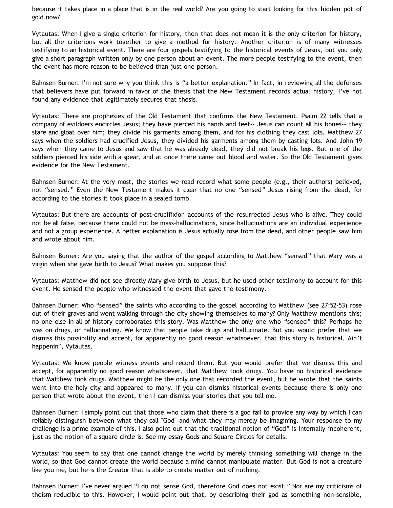because it takes place in a place that is in the real world? Are you going to start looking for this hidden pot of gold now?

Vytautas: When I give a single criterion for history, then that does not mean it is the only criterion for history, but all the criterions work together to give a method for history. Another criterion is of many witnesses testifying to an historical event. There are four gospels testifying to the historical events of Jesus, but you only give a short paragraph written only by one person about an event. The more people testifying to the event, then the event has more reason to be believed than just one person.

Bahnsen Burner: I'm not sure why you think this is "a better explanation." In fact, in reviewing all the defenses that believers have put forward in favor of the thesis that the New Testament records actual history, I've not found any evidence that legitimately secures that thesis.

Vytautas: There are prophesies of the Old Testament that confirms the New Testament. Psalm 22 tells that a company of evildoers encircles Jesus; they have pierced his hands and feet-- Jesus can count all his bones-- they stare and gloat over him; they divide his garments among them, and for his clothing they cast lots. Matthew 27 says when the soldiers had crucified Jesus, they divided his garments among them by casting lots. And John 19 says when they came to Jesus and saw that he was already dead, they did not break his legs. But one of the soldiers pierced his side with a spear, and at once there came out blood and water. So the Old Testament gives evidence for the New Testament.

Bahnsen Burner: At the very most, the stories we read record what some people (e.g., their authors) believed, not "sensed." Even the New Testament makes it clear that no one "sensed" Jesus rising from the dead, for according to the stories it took place in a sealed tomb.

Vytautas: But there are accounts of post-crucifixion accounts of the resurrected Jesus who is alive. They could not be all false, because there could not be mass-hallucinations, since hallucinations are an individual experience and not a group experience. A better explanation is Jesus actually rose from the dead, and other people saw him and wrote about him.

Bahnsen Burner: Are you saying that the author of the gospel according to Matthew "sensed" that Mary was a virgin when she gave birth to Jesus? What makes you suppose this?

Vytautas: Matthew did not see directly Mary give birth to Jesus, but he used other testimony to account for this event. He sensed the people who witnessed the event that gave the testimony.

Bahnsen Burner: Who "sensed" the saints who according to the gospel according to Matthew (see 27:52-53) rose out of their graves and went walking through the city showing themselves to many? Only Matthew mentions this; no one else in all of history corroborates this story. Was Matthew the only one who "sensed" this? Perhaps he was on drugs, or hallucinating. We know that people take drugs and hallucinate. But you would prefer that we dismiss this possibility and accept, for apparently no good reason whatsoever, that this story is historical. Ain't happenin', Vytautas.

Vytautas: We know people witness events and record them. But you would prefer that we dismiss this and accept, for apparently no good reason whatsoever, that Matthew took drugs. You have no historical evidence that Matthew took drugs. Matthew might be the only one that recorded the event, but he wrote that the saints went into the holy city and appeared to many. If you can dismiss historical events because there is only one person that wrote about the event, then I can dismiss your stories that you tell me.

Bahnsen Burner: I simply point out that those who claim that there is a god fail to provide any way by which I can reliably distinguish between what they call "God" and what they may merely be imagining. Your response to my challenge is a prime example of this. I also point out that the traditional notion of "God" is internally incoherent, just as the notion of a square circle is. See my essay Gods and Square Circles for details.

Vytautas: You seem to say that one cannot change the world by merely thinking something will change in the world, so that God cannot create the world because a mind cannot manipulate matter. But God is not a creature like you me, but he is the Creator that is able to create matter out of nothing.

Bahnsen Burner: I've never argued "I do not sense God, therefore God does not exist." Nor are my criticisms of theism reducible to this. However, I would point out that, by describing their god as something non-sensible,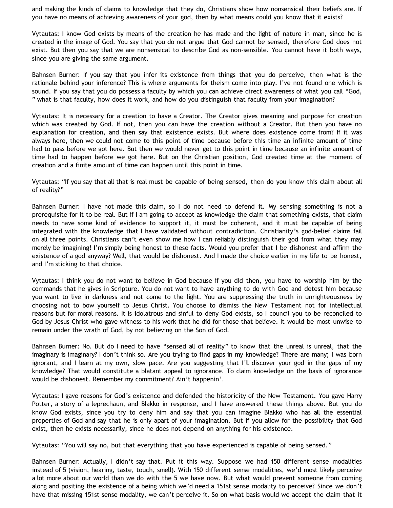and making the kinds of claims to knowledge that they do, Christians show how nonsensical their beliefs are. If you have no means of achieving awareness of your god, then by what means could you know that it exists?

Vytautas: I know God exists by means of the creation he has made and the light of nature in man, since he is created in the image of God. You say that you do not argue that God cannot be sensed, therefore God does not exist. But then you say that we are nonsensical to describe God as non-sensible. You cannot have it both ways, since you are giving the same argument.

Bahnsen Burner: If you say that you infer its existence from things that you do perceive, then what is the rationale behind your inference? This is where arguments for theism come into play. I've not found one which is sound. If you say that you do possess a faculty by which you can achieve direct awareness of what you call "God, " what is that faculty, how does it work, and how do you distinguish that faculty from your imagination?

Vytautas: It is necessary for a creation to have a Creator. The Creator gives meaning and purpose for creation which was created by God. If not, then you can have the creation without a Creator. But then you have no explanation for creation, and then say that existence exists. But where does existence come from? If it was always here, then we could not come to this point of time because before this time an infinite amount of time had to pass before we got here. But then we would never get to this point in time because an infinite amount of time had to happen before we got here. But on the Christian position, God created time at the moment of creation and a finite amount of time can happen until this point in time.

Vytautas: "If you say that all that is real must be capable of being sensed, then do you know this claim about all of reality?"

Bahnsen Burner: I have not made this claim, so I do not need to defend it. My sensing something is not a prerequisite for it to be real. But if I am going to accept as knowledge the claim that something exists, that claim needs to have some kind of evidence to support it, it must be coherent, and it must be capable of being integrated with the knowledge that I have validated without contradiction. Christianity's god-belief claims fail on all three points. Christians can't even show me how I can reliably distinguish their god from what they may merely be imagining! I'm simply being honest to these facts. Would you prefer that I be dishonest and affirm the existence of a god anyway? Well, that would be dishonest. And I made the choice earlier in my life to be honest, and I'm sticking to that choice.

Vytautas: I think you do not want to believe in God because if you did then, you have to worship him by the commands that he gives in Scripture. You do not want to have anything to do with God and detest him because you want to live in darkness and not come to the light. You are suppressing the truth in unrighteousness by choosing not to bow yourself to Jesus Christ. You choose to dismiss the New Testament not for intellectual reasons but for moral reasons. It is idolatrous and sinful to deny God exists, so I council you to be reconciled to God by Jesus Christ who gave witness to his work that he did for those that believe. It would be most unwise to remain under the wrath of God, by not believing on the Son of God.

Bahnsen Burner: No. But do I need to have "sensed all of reality" to know that the unreal is unreal, that the imaginary is imaginary? I don't think so. Are you trying to find gaps in my knowledge? There are many; I was born ignorant, and I learn at my own, slow pace. Are you suggesting that I'll discover your god in the gaps of my knowledge? That would constitute a blatant appeal to ignorance. To claim knowledge on the basis of ignorance would be dishonest. Remember my commitment? Ain't happenin'.

Vytautas: I gave reasons for God's existence and defended the historicity of the New Testament. You gave Harry Potter, a story of a leprechaun, and Blakko in response, and I have answered these things above. But you do know God exists, since you try to deny him and say that you can imagine Blakko who has all the essential properties of God and say that he is only apart of your imagination. But if you allow for the possibility that God exist, then he exists necessarily, since he does not depend on anything for his existence.

Vytautas: "You will say no, but that everything that you have experienced is capable of being sensed."

Bahnsen Burner: Actually, I didn't say that. Put it this way. Suppose we had 150 different sense modalities instead of 5 (vision, hearing, taste, touch, smell). With 150 different sense modalities, we'd most likely perceive a lot more about our world than we do with the 5 we have now. But what would prevent someone from coming along and positing the existence of a being which we'd need a 151st sense modality to perceive? Since we don't have that missing 151st sense modality, we can't perceive it. So on what basis would we accept the claim that it